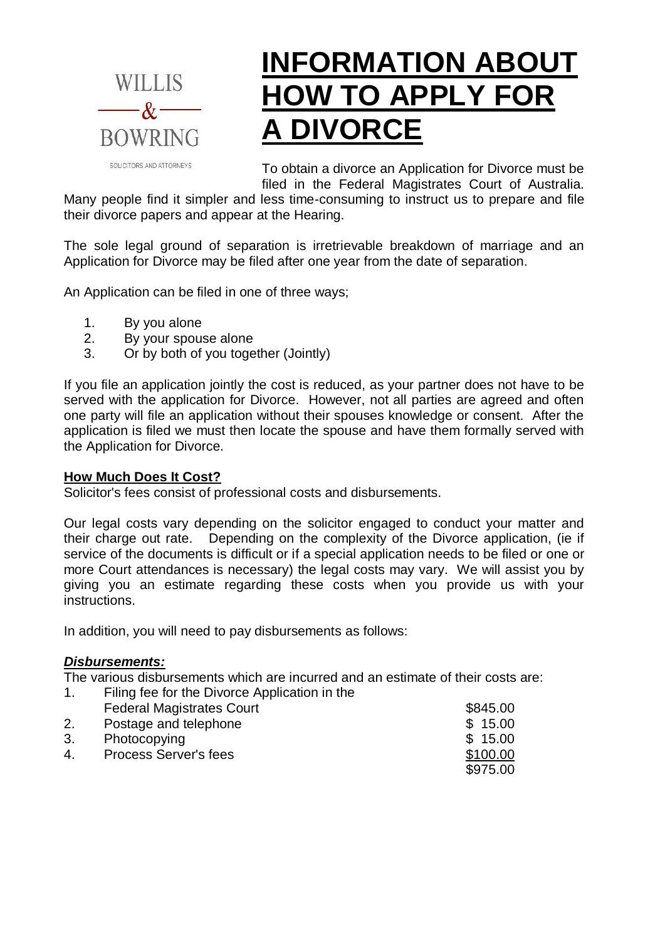

# **INFORMATION ABOUT HOW TO APPLY FOR A DIVORCE**

To obtain a divorce an Application for Divorce must be filed in the Federal Magistrates Court of Australia.

Many people find it simpler and less time-consuming to instruct us to prepare and file their divorce papers and appear at the Hearing.

The sole legal ground of separation is irretrievable breakdown of marriage and an Application for Divorce may be filed after one year from the date of separation.

An Application can be filed in one of three ways;

- 1. By you alone
- 2. By your spouse alone
- 3. Or by both of you together (Jointly)

If you file an application jointly the cost is reduced, as your partner does not have to be served with the application for Divorce. However, not all parties are agreed and often one party will file an application without their spouses knowledge or consent. After the application is filed we must then locate the spouse and have them formally served with the Application for Divorce.

## **How Much Does It Cost?**

Solicitor's fees consist of professional costs and disbursements.

Our legal costs vary depending on the solicitor engaged to conduct your matter and their charge out rate. Depending on the complexity of the Divorce application, (ie if service of the documents is difficult or if a special application needs to be filed or one or more Court attendances is necessary) the legal costs may vary. We will assist you by giving you an estimate regarding these costs when you provide us with your instructions.

In addition, you will need to pay disbursements as follows:

# *Disbursements:*

The various disbursements which are incurred and an estimate of their costs are:

1. Filing fee for the Divorce Application in the Federal Magistrates Court **\$845.00** 2. Postage and telephone \$ 15.00 3. Photocopying 3. September 2012 15:00 4. Process Server's fees \$100.00 \$975.00